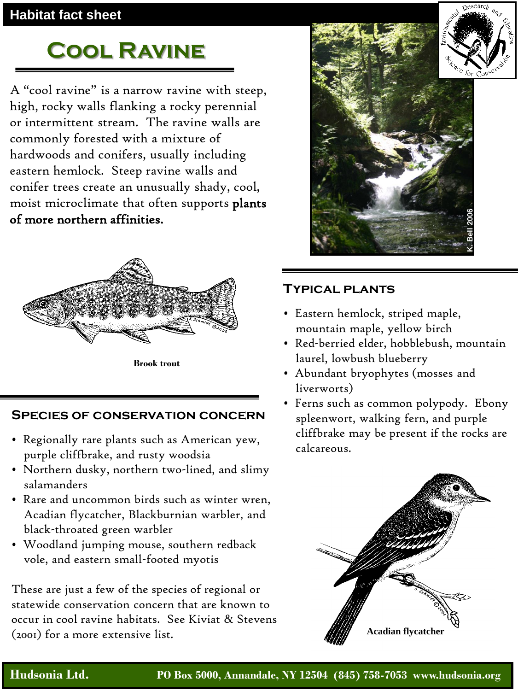### **Habitat fact sheet**

# **Cool Ravine**

A "cool ravine" is a narrow ravine with steep, high, rocky walls flanking a rocky perennial or intermittent stream. The ravine walls are commonly forested with a mixture of hardwoods and conifers, usually including eastern hemlock. Steep ravine walls and conifer trees create an unusually shady, cool, moist microclimate that often supports plants of more northern affinities.



**Brook trout**

#### **Species of conservation concern**

- Regionally rare plants such as American yew, purple cliffbrake, and rusty woodsia
- Northern dusky, northern two-lined, and slimy salamanders
- Rare and uncommon birds such as winter wren, Acadian flycatcher, Blackburnian warbler, and black-throated green warbler
- Woodland jumping mouse, southern redback vole, and eastern small-footed myotis

These are just a few of the species of regional or statewide conservation concern that are known to occur in cool ravine habitats. See Kiviat & Stevens (2001) for a more extensive list.



## **Typical plants**

- Eastern hemlock, striped maple, mountain maple, yellow birch
- Red-berried elder, hobblebush, mountain laurel, lowbush blueberry
- Abundant bryophytes (mosses and liverworts)
- Ferns such as common polypody. Ebony spleenwort, walking fern, and purple cliffbrake may be present if the rocks are calcareous.